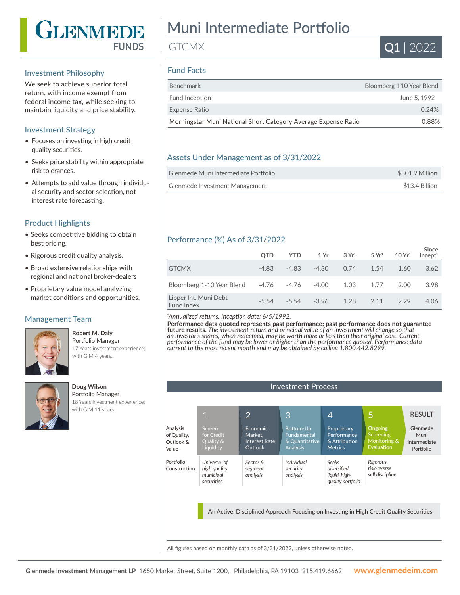

#### Investment Philosophy

We seek to achieve superior total return, with income exempt from federal income tax, while seeking to maintain liquidity and price stability.

### Investment Strategy

- Focuses on investing in high credit quality securities.
- Seeks price stability within appropriate risk tolerances.
- Attempts to add value through individual security and sector selection, not interest rate forecasting.

#### Product Highlights

- Seeks competitive bidding to obtain best pricing.
- Rigorous credit quality analysis.
- Broad extensive relationships with regional and national broker-dealers
- Proprietary value model analyzing market conditions and opportunities.

#### Management Team

#### Portfolio Manager 17 Years investment experience; with GIM 4 years.

**Robert M. Daly**



#### **Doug Wilson** Portfolio Manager 18 Years investment experience; with GIM 11 years.

# Muni Intermediate Portfolio

**GTCMX** 

# Fund Facts

| <b>Benchmark</b>                                               | Bloomberg 1-10 Year Blend |
|----------------------------------------------------------------|---------------------------|
| Fund Inception                                                 | June 5, 1992              |
| Expense Ratio                                                  | 0.24%                     |
| Morningstar Muni National Short Category Average Expense Ratio | 0.88%                     |

#### Assets Under Management as of 3/31/2022

| Glenmede Muni Intermediate Portfolio | \$301.9 Million |
|--------------------------------------|-----------------|
| Glenmede Investment Management:      | \$13.4 Billion  |

# Performance (%) As of 3/31/2022

|                                     | <b>OTD</b> | <b>YTD</b>  | 1 Yr    | $3 \, \mathrm{Yr}^1$ | 5 Yr <sup>1</sup> | 10 Yr <sup>1</sup> | <b>Since</b><br>Incept <sup>1</sup> |
|-------------------------------------|------------|-------------|---------|----------------------|-------------------|--------------------|-------------------------------------|
| <b>GTCMX</b>                        | $-4.83$    | $-4.83$     | $-4.30$ | 0.74                 | 1.54              | 1.60               | 3.62                                |
| Bloomberg 1-10 Year Blend           |            | -4.76 -4.76 | $-4.00$ | 1.03                 | 1.77              | 2.00               | 3.98                                |
| Lipper Int. Muni Debt<br>Fund Index | $-5, 54$   | $-5,54$     | $-3.96$ | 1.28                 | 2.11              | 229                | 4.06                                |

#### *1 Annualized returns. Inception date: 6/5/1992.*

**Performance data quoted represents past performance; past performance does not guarantee future results.** *The investment return and principal value of an investment will change so that an investor's shares, when redeemed, may be worth more or less than their original cost. Current performance of the fund may be lower or higher than the performance quoted. Performance data current to the most recent month end may be obtained by calling 1.800.442.8299.*



All figures based on monthly data as of 3/31/2022, unless otherwise noted.